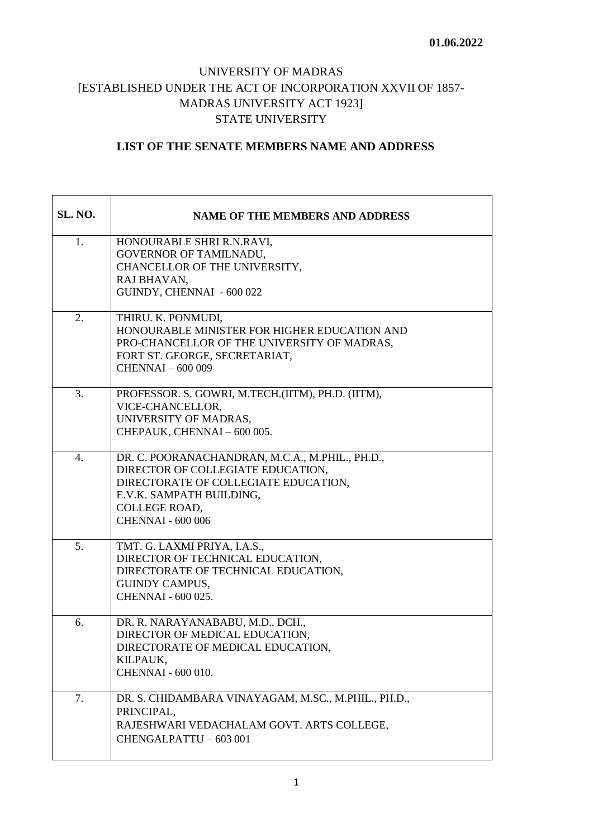## UNIVERSITY OF MADRAS [ESTABLISHED UNDER THE ACT OF INCORPORATION XXVII OF 1857- MADRAS UNIVERSITY ACT 1923] STATE UNIVERSITY

## **LIST OF THE SENATE MEMBERS NAME AND ADDRESS**

| <b>SL. NO.</b> | <b>NAME OF THE MEMBERS AND ADDRESS</b>                                                                                                                                                                |
|----------------|-------------------------------------------------------------------------------------------------------------------------------------------------------------------------------------------------------|
| 1.             | HONOURABLE SHRI R.N.RAVI,<br><b>GOVERNOR OF TAMILNADU,</b><br>CHANCELLOR OF THE UNIVERSITY,<br>RAJ BHAVAN,<br>GUINDY, CHENNAI - 600 022                                                               |
| 2.             | THIRU. K. PONMUDI,<br>HONOURABLE MINISTER FOR HIGHER EDUCATION AND<br>PRO-CHANCELLOR OF THE UNIVERSITY OF MADRAS,<br>FORT ST. GEORGE, SECRETARIAT,<br><b>CHENNAI-600009</b>                           |
| 3.             | PROFESSOR. S. GOWRI, M.TECH.(IITM), PH.D. (IITM),<br>VICE-CHANCELLOR,<br>UNIVERSITY OF MADRAS,<br>CHEPAUK, CHENNAI - 600 005.                                                                         |
| 4.             | DR. C. POORANACHANDRAN, M.C.A., M.PHIL., PH.D.,<br>DIRECTOR OF COLLEGIATE EDUCATION,<br>DIRECTORATE OF COLLEGIATE EDUCATION,<br>E.V.K. SAMPATH BUILDING,<br>COLLEGE ROAD,<br><b>CHENNAI - 600 006</b> |
| 5.             | TMT. G. LAXMI PRIYA, I.A.S.,<br>DIRECTOR OF TECHNICAL EDUCATION,<br>DIRECTORATE OF TECHNICAL EDUCATION,<br><b>GUINDY CAMPUS,</b><br>CHENNAI - 600 025.                                                |
| 6.             | DR. R. NARAYANABABU, M.D., DCH.,<br>DIRECTOR OF MEDICAL EDUCATION,<br>DIRECTORATE OF MEDICAL EDUCATION,<br>KILPAUK,<br><b>CHENNAI - 600 010.</b>                                                      |
| 7.             | DR. S. CHIDAMBARA VINAYAGAM, M.SC., M.PHIL., PH.D.,<br>PRINCIPAL,<br>RAJESHWARI VEDACHALAM GOVT. ARTS COLLEGE,<br>CHENGALPATTU - 603 001                                                              |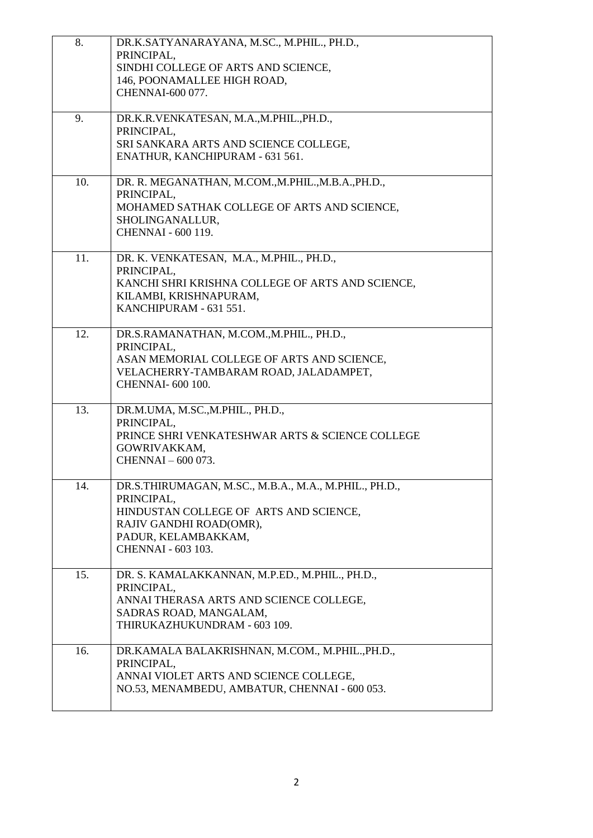| 8.  | DR.K.SATYANARAYANA, M.SC., M.PHIL., PH.D.,<br>PRINCIPAL.<br>SINDHI COLLEGE OF ARTS AND SCIENCE,<br>146, POONAMALLEE HIGH ROAD,<br>CHENNAI-600 077.                                    |
|-----|---------------------------------------------------------------------------------------------------------------------------------------------------------------------------------------|
| 9.  | DR.K.R.VENKATESAN, M.A.,M.PHIL., PH.D.,<br>PRINCIPAL,<br>SRI SANKARA ARTS AND SCIENCE COLLEGE,<br>ENATHUR, KANCHIPURAM - 631 561.                                                     |
| 10. | DR. R. MEGANATHAN, M.COM., M.PHIL., M.B.A., PH.D.,<br>PRINCIPAL,<br>MOHAMED SATHAK COLLEGE OF ARTS AND SCIENCE,<br>SHOLINGANALLUR,<br><b>CHENNAI - 600 119.</b>                       |
| 11. | DR. K. VENKATESAN, M.A., M.PHIL., PH.D.,<br>PRINCIPAL.<br>KANCHI SHRI KRISHNA COLLEGE OF ARTS AND SCIENCE,<br>KILAMBI, KRISHNAPURAM,<br>KANCHIPURAM - 631 551.                        |
| 12. | DR.S.RAMANATHAN, M.COM., M.PHIL., PH.D.,<br>PRINCIPAL,<br>ASAN MEMORIAL COLLEGE OF ARTS AND SCIENCE,<br>VELACHERRY-TAMBARAM ROAD, JALADAMPET,<br><b>CHENNAI-600 100.</b>              |
| 13. | DR.M.UMA, M.SC.,M.PHIL., PH.D.,<br>PRINCIPAL,<br>PRINCE SHRI VENKATESHWAR ARTS & SCIENCE COLLEGE<br>GOWRIVAKKAM,<br>CHENNAI - 600 073.                                                |
| 14. | DR.S.THIRUMAGAN, M.SC., M.B.A., M.A., M.PHIL., PH.D.,<br>PRINCIPAL,<br>HINDUSTAN COLLEGE OF ARTS AND SCIENCE,<br>RAJIV GANDHI ROAD(OMR),<br>PADUR, KELAMBAKKAM,<br>CHENNAI - 603 103. |
| 15. | DR. S. KAMALAKKANNAN, M.P.ED., M.PHIL., PH.D.,<br>PRINCIPAL,<br>ANNAI THERASA ARTS AND SCIENCE COLLEGE,<br>SADRAS ROAD, MANGALAM,<br>THIRUKAZHUKUNDRAM - 603 109.                     |
| 16. | DR.KAMALA BALAKRISHNAN, M.COM., M.PHIL., PH.D.,<br>PRINCIPAL,<br>ANNAI VIOLET ARTS AND SCIENCE COLLEGE,<br>NO.53, MENAMBEDU, AMBATUR, CHENNAI - 600 053.                              |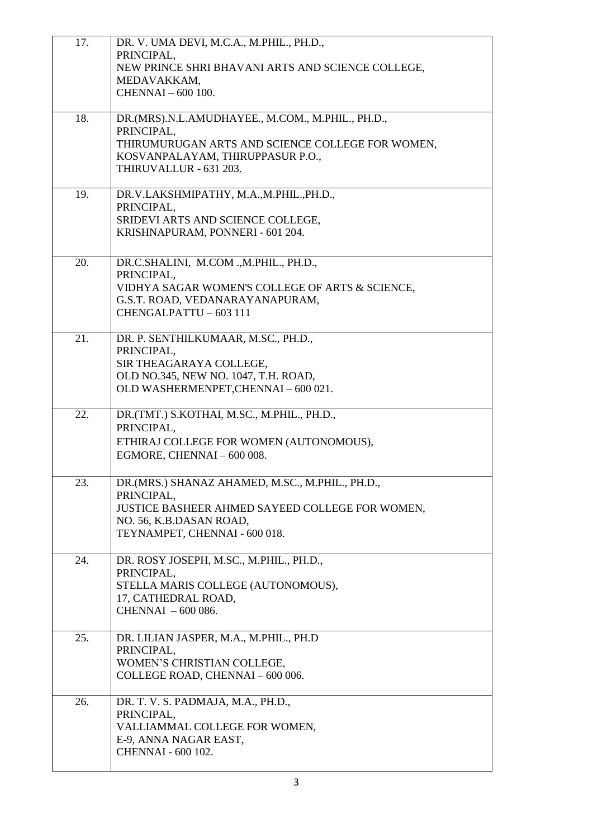| 17. | DR. V. UMA DEVI, M.C.A., M.PHIL., PH.D.,<br>PRINCIPAL,                               |
|-----|--------------------------------------------------------------------------------------|
|     | NEW PRINCE SHRI BHAVANI ARTS AND SCIENCE COLLEGE,                                    |
|     | MEDAVAKKAM,<br>CHENNAI - 600 100.                                                    |
| 18. | DR.(MRS).N.L.AMUDHAYEE., M.COM., M.PHIL., PH.D.,                                     |
|     | PRINCIPAL,                                                                           |
|     | THIRUMURUGAN ARTS AND SCIENCE COLLEGE FOR WOMEN,<br>KOSVANPALAYAM, THIRUPPASUR P.O., |
|     | THIRUVALLUR - 631 203.                                                               |
| 19. | DR.V.LAKSHMIPATHY, M.A.,M.PHIL., PH.D.,                                              |
|     | PRINCIPAL,<br>SRIDEVI ARTS AND SCIENCE COLLEGE,                                      |
|     | KRISHNAPURAM, PONNERI - 601 204.                                                     |
|     |                                                                                      |
| 20. | DR.C.SHALINI, M.COM ., M.PHIL., PH.D.,<br>PRINCIPAL,                                 |
|     | VIDHYA SAGAR WOMEN'S COLLEGE OF ARTS & SCIENCE,                                      |
|     | G.S.T. ROAD, VEDANARAYANAPURAM,<br>CHENGALPATTU - 603 111                            |
|     |                                                                                      |
| 21. | DR. P. SENTHILKUMAAR, M.SC., PH.D.,                                                  |
|     | PRINCIPAL,<br>SIR THEAGARAYA COLLEGE,                                                |
|     | OLD NO.345, NEW NO. 1047, T.H. ROAD,                                                 |
|     | OLD WASHERMENPET, CHENNAI - 600 021.                                                 |
| 22. | DR. (TMT.) S. KOTHAI, M.SC., M. PHIL., PH.D.,                                        |
|     | PRINCIPAL,<br>ETHIRAJ COLLEGE FOR WOMEN (AUTONOMOUS),                                |
|     | EGMORE, CHENNAI - 600 008.                                                           |
| 23. | DR.(MRS.) SHANAZ AHAMED, M.SC., M.PHIL., PH.D.,                                      |
|     | PRINCIPAL,<br>JUSTICE BASHEER AHMED SAYEED COLLEGE FOR WOMEN,                        |
|     | NO. 56, K.B.DASAN ROAD,                                                              |
|     | TEYNAMPET, CHENNAI - 600 018.                                                        |
| 24. | DR. ROSY JOSEPH, M.SC., M.PHIL., PH.D.,                                              |
|     | PRINCIPAL,<br>STELLA MARIS COLLEGE (AUTONOMOUS),                                     |
|     | 17, CATHEDRAL ROAD,                                                                  |
|     | CHENNAI $-600086$ .                                                                  |
| 25. | DR. LILIAN JASPER, M.A., M.PHIL., PH.D                                               |
|     | PRINCIPAL,<br>WOMEN'S CHRISTIAN COLLEGE,                                             |
|     | COLLEGE ROAD, CHENNAI - 600 006.                                                     |
| 26. | DR. T. V. S. PADMAJA, M.A., PH.D.,                                                   |
|     | PRINCIPAL,                                                                           |
|     | VALLIAMMAL COLLEGE FOR WOMEN,<br>E-9, ANNA NAGAR EAST,                               |
|     | <b>CHENNAI - 600 102.</b>                                                            |
|     |                                                                                      |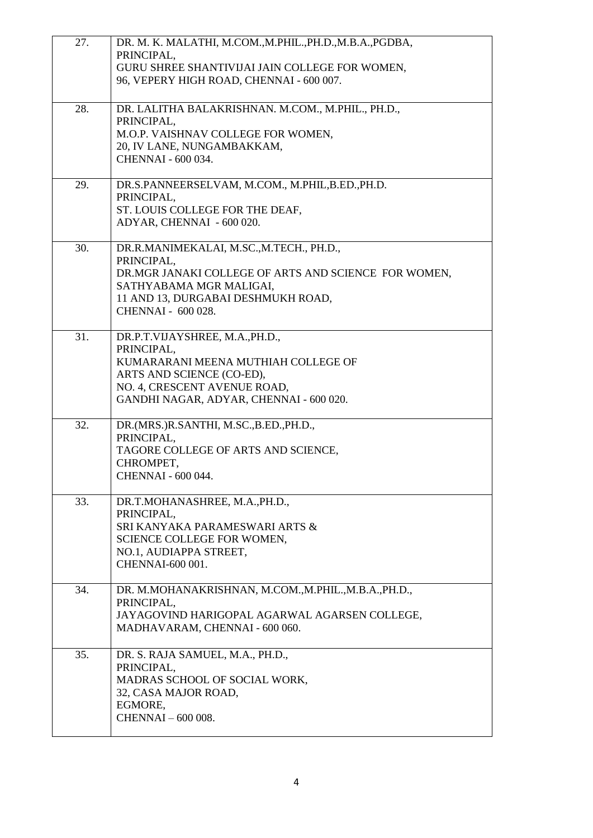| 27. | DR. M. K. MALATHI, M.COM., M.PHIL., PH.D., M.B.A., PGDBA,<br>PRINCIPAL,<br>GURU SHREE SHANTIVIJAI JAIN COLLEGE FOR WOMEN,<br>96, VEPERY HIGH ROAD, CHENNAI - 600 007.                                |
|-----|------------------------------------------------------------------------------------------------------------------------------------------------------------------------------------------------------|
| 28. | DR. LALITHA BALAKRISHNAN. M.COM., M.PHIL., PH.D.,<br>PRINCIPAL,<br>M.O.P. VAISHNAV COLLEGE FOR WOMEN,<br>20, IV LANE, NUNGAMBAKKAM,<br>CHENNAI - 600 034.                                            |
| 29. | DR.S.PANNEERSELVAM, M.COM., M.PHIL, B.ED., PH.D.<br>PRINCIPAL,<br>ST. LOUIS COLLEGE FOR THE DEAF,<br>ADYAR, CHENNAI - 600 020.                                                                       |
| 30. | DR.R.MANIMEKALAI, M.SC.,M.TECH., PH.D.,<br>PRINCIPAL,<br>DR.MGR JANAKI COLLEGE OF ARTS AND SCIENCE FOR WOMEN,<br>SATHYABAMA MGR MALIGAI,<br>11 AND 13, DURGABAI DESHMUKH ROAD,<br>CHENNAI - 600 028. |
| 31. | DR.P.T.VIJAYSHREE, M.A., PH.D.,<br>PRINCIPAL,<br>KUMARARANI MEENA MUTHIAH COLLEGE OF<br>ARTS AND SCIENCE (CO-ED),<br>NO. 4, CRESCENT AVENUE ROAD,<br>GANDHI NAGAR, ADYAR, CHENNAI - 600 020.         |
| 32. | DR.(MRS.)R.SANTHI, M.SC.,B.ED.,PH.D.,<br>PRINCIPAL,<br>TAGORE COLLEGE OF ARTS AND SCIENCE,<br>CHROMPET,<br>CHENNAI - 600 044.                                                                        |
| 33. | DR.T.MOHANASHREE, M.A., PH.D.,<br>PRINCIPAL,<br>SRI KANYAKA PARAMESWARI ARTS &<br>SCIENCE COLLEGE FOR WOMEN,<br>NO.1, AUDIAPPA STREET,<br>CHENNAI-600 001.                                           |
| 34. | DR. M.MOHANAKRISHNAN, M.COM., M.PHIL., M.B.A., PH.D.,<br>PRINCIPAL,<br>JAYAGOVIND HARIGOPAL AGARWAL AGARSEN COLLEGE,<br>MADHAVARAM, CHENNAI - 600 060.                                               |
| 35. | DR. S. RAJA SAMUEL, M.A., PH.D.,<br>PRINCIPAL,<br>MADRAS SCHOOL OF SOCIAL WORK,<br>32, CASA MAJOR ROAD,<br>EGMORE,<br>CHENNAI-600 008.                                                               |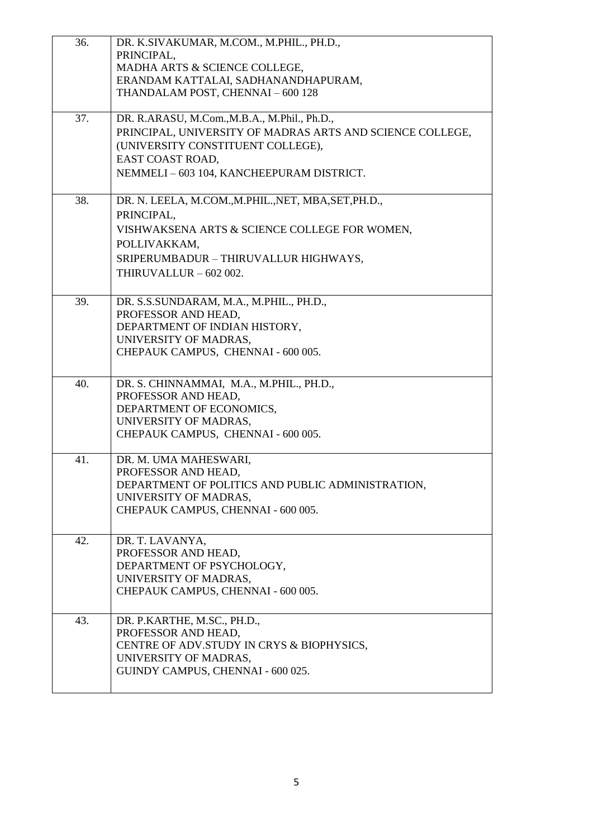| 36. | DR. K.SIVAKUMAR, M.COM., M.PHIL., PH.D.,<br>PRINCIPAL,<br>MADHA ARTS & SCIENCE COLLEGE,<br>ERANDAM KATTALAI, SADHANANDHAPURAM,<br>THANDALAM POST, CHENNAI - 600 128                                             |
|-----|-----------------------------------------------------------------------------------------------------------------------------------------------------------------------------------------------------------------|
| 37. | DR. R.ARASU, M.Com., M.B.A., M.Phil., Ph.D.,<br>PRINCIPAL, UNIVERSITY OF MADRAS ARTS AND SCIENCE COLLEGE,<br>(UNIVERSITY CONSTITUENT COLLEGE),<br>EAST COAST ROAD,<br>NEMMELI - 603 104, KANCHEEPURAM DISTRICT. |
| 38. | DR. N. LEELA, M.COM., M.PHIL., NET, MBA, SET, PH.D.,<br>PRINCIPAL,<br>VISHWAKSENA ARTS & SCIENCE COLLEGE FOR WOMEN,<br>POLLIVAKKAM,<br>SRIPERUMBADUR - THIRUVALLUR HIGHWAYS,<br>THIRUVALLUR - 602 002.          |
| 39. | DR. S.S.SUNDARAM, M.A., M.PHIL., PH.D.,<br>PROFESSOR AND HEAD,<br>DEPARTMENT OF INDIAN HISTORY,<br>UNIVERSITY OF MADRAS,<br>CHEPAUK CAMPUS, CHENNAI - 600 005.                                                  |
| 40. | DR. S. CHINNAMMAI, M.A., M.PHIL., PH.D.,<br>PROFESSOR AND HEAD,<br>DEPARTMENT OF ECONOMICS,<br>UNIVERSITY OF MADRAS,<br>CHEPAUK CAMPUS, CHENNAI - 600 005.                                                      |
| 41. | DR. M. UMA MAHESWARI,<br>PROFESSOR AND HEAD,<br>DEPARTMENT OF POLITICS AND PUBLIC ADMINISTRATION,<br>UNIVERSITY OF MADRAS,<br>CHEPAUK CAMPUS, CHENNAI - 600 005.                                                |
| 42. | DR. T. LAVANYA,<br>PROFESSOR AND HEAD,<br>DEPARTMENT OF PSYCHOLOGY,<br>UNIVERSITY OF MADRAS,<br>CHEPAUK CAMPUS, CHENNAI - 600 005.                                                                              |
| 43. | DR. P.KARTHE, M.SC., PH.D.,<br>PROFESSOR AND HEAD,<br>CENTRE OF ADV. STUDY IN CRYS & BIOPHYSICS,<br>UNIVERSITY OF MADRAS,<br>GUINDY CAMPUS, CHENNAI - 600 025.                                                  |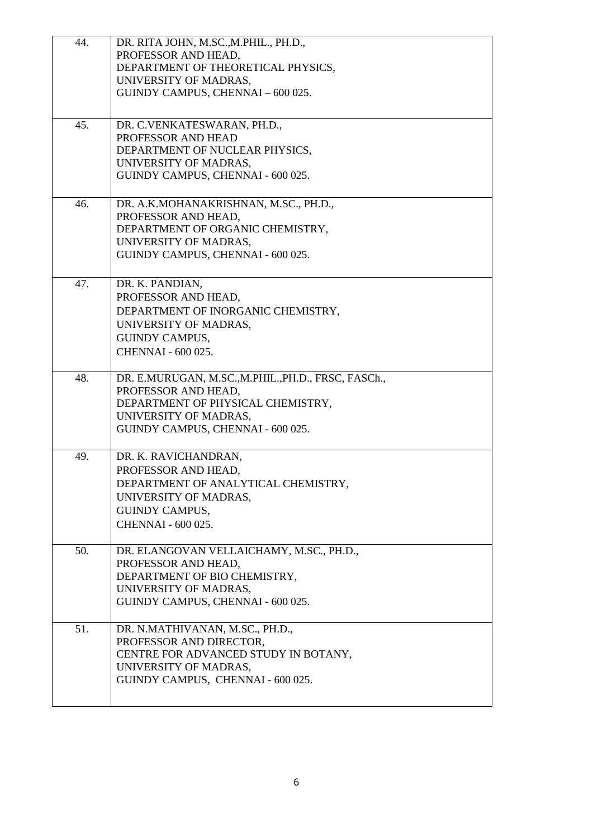| 44. | DR. RITA JOHN, M.SC., M.PHIL., PH.D.,                           |
|-----|-----------------------------------------------------------------|
|     | PROFESSOR AND HEAD,                                             |
|     | DEPARTMENT OF THEORETICAL PHYSICS,                              |
|     | UNIVERSITY OF MADRAS,                                           |
|     | GUINDY CAMPUS, CHENNAI - 600 025.                               |
|     |                                                                 |
| 45. | DR. C.VENKATESWARAN, PH.D.,                                     |
|     | PROFESSOR AND HEAD                                              |
|     | DEPARTMENT OF NUCLEAR PHYSICS,                                  |
|     | UNIVERSITY OF MADRAS,                                           |
|     | GUINDY CAMPUS, CHENNAI - 600 025.                               |
|     |                                                                 |
| 46. | DR. A.K.MOHANAKRISHNAN, M.SC., PH.D.,                           |
|     | PROFESSOR AND HEAD,                                             |
|     | DEPARTMENT OF ORGANIC CHEMISTRY,                                |
|     | UNIVERSITY OF MADRAS,                                           |
|     | GUINDY CAMPUS, CHENNAI - 600 025.                               |
| 47. | DR. K. PANDIAN,                                                 |
|     |                                                                 |
|     | PROFESSOR AND HEAD,                                             |
|     | DEPARTMENT OF INORGANIC CHEMISTRY,                              |
|     | UNIVERSITY OF MADRAS,                                           |
|     | <b>GUINDY CAMPUS,</b>                                           |
|     | CHENNAI - 600 025.                                              |
| 48. | DR. E.MURUGAN, M.SC., M.PHIL., PH.D., FRSC, FASCh.,             |
|     | PROFESSOR AND HEAD,                                             |
|     | DEPARTMENT OF PHYSICAL CHEMISTRY,                               |
|     | UNIVERSITY OF MADRAS,                                           |
|     | GUINDY CAMPUS, CHENNAI - 600 025.                               |
|     |                                                                 |
| 49. | DR. K. RAVICHANDRAN,                                            |
|     | PROFESSOR AND HEAD,                                             |
|     | DEPARTMENT OF ANALYTICAL CHEMISTRY,                             |
|     | UNIVERSITY OF MADRAS,                                           |
|     | <b>GUINDY CAMPUS,</b>                                           |
|     | CHENNAI - 600 025.                                              |
|     |                                                                 |
| 50. | DR. ELANGOVAN VELLAICHAMY, M.SC., PH.D.,<br>PROFESSOR AND HEAD, |
|     | DEPARTMENT OF BIO CHEMISTRY,                                    |
|     | UNIVERSITY OF MADRAS,                                           |
|     | GUINDY CAMPUS, CHENNAI - 600 025.                               |
|     |                                                                 |
| 51. | DR. N.MATHIVANAN, M.SC., PH.D.,                                 |
|     | PROFESSOR AND DIRECTOR,                                         |
|     | CENTRE FOR ADVANCED STUDY IN BOTANY,                            |
|     | UNIVERSITY OF MADRAS,                                           |
|     | GUINDY CAMPUS, CHENNAI - 600 025.                               |
|     |                                                                 |
|     |                                                                 |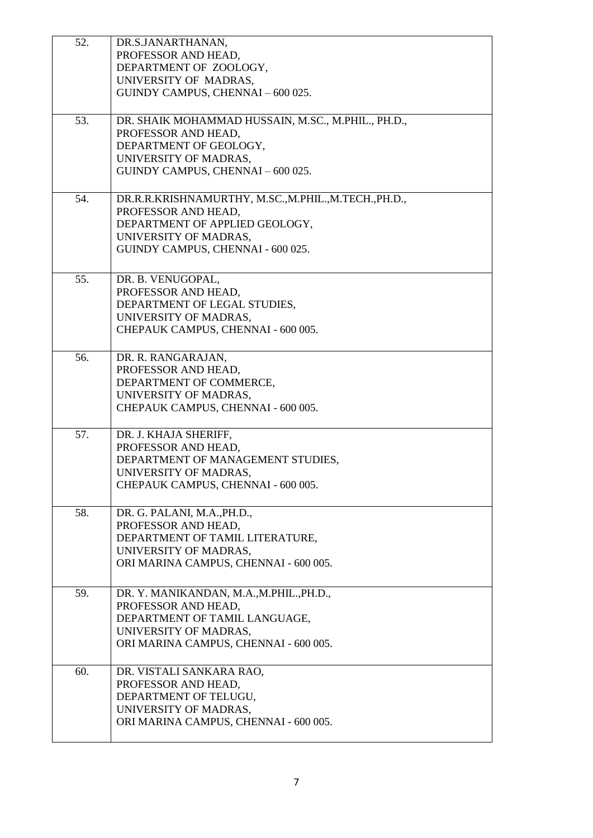| 52. | DR.S.JANARTHANAN,                                  |
|-----|----------------------------------------------------|
|     | PROFESSOR AND HEAD,                                |
|     | DEPARTMENT OF ZOOLOGY,                             |
|     | UNIVERSITY OF MADRAS,                              |
|     | GUINDY CAMPUS, CHENNAI - 600 025.                  |
|     |                                                    |
| 53. | DR. SHAIK MOHAMMAD HUSSAIN, M.SC., M.PHIL., PH.D., |
|     | PROFESSOR AND HEAD,                                |
|     | DEPARTMENT OF GEOLOGY,                             |
|     | UNIVERSITY OF MADRAS,                              |
|     | GUINDY CAMPUS, CHENNAI - 600 025.                  |
|     |                                                    |
| 54. | DR.R.R.KRISHNAMURTHY, M.SC.,M.PHIL.,M.TECH.,PH.D., |
|     | PROFESSOR AND HEAD,                                |
|     | DEPARTMENT OF APPLIED GEOLOGY,                     |
|     | UNIVERSITY OF MADRAS,                              |
|     | GUINDY CAMPUS, CHENNAI - 600 025.                  |
|     |                                                    |
| 55. | DR. B. VENUGOPAL,                                  |
|     | PROFESSOR AND HEAD,                                |
|     | DEPARTMENT OF LEGAL STUDIES,                       |
|     | UNIVERSITY OF MADRAS,                              |
|     | CHEPAUK CAMPUS, CHENNAI - 600 005.                 |
|     |                                                    |
| 56. | DR. R. RANGARAJAN,                                 |
|     | PROFESSOR AND HEAD,                                |
|     | DEPARTMENT OF COMMERCE,                            |
|     | UNIVERSITY OF MADRAS,                              |
|     | CHEPAUK CAMPUS, CHENNAI - 600 005.                 |
|     |                                                    |
| 57. | DR. J. KHAJA SHERIFF,                              |
|     | PROFESSOR AND HEAD,                                |
|     | DEPARTMENT OF MANAGEMENT STUDIES,                  |
|     | UNIVERSITY OF MADRAS,                              |
|     | CHEPAUK CAMPUS, CHENNAI - 600 005.                 |
|     |                                                    |
| 58. | DR. G. PALANI, M.A., PH.D.,                        |
|     | PROFESSOR AND HEAD,                                |
|     | DEPARTMENT OF TAMIL LITERATURE,                    |
|     | UNIVERSITY OF MADRAS,                              |
|     | ORI MARINA CAMPUS, CHENNAI - 600 005.              |
| 59. | DR. Y. MANIKANDAN, M.A., M.PHIL., PH.D.,           |
|     | PROFESSOR AND HEAD,                                |
|     | DEPARTMENT OF TAMIL LANGUAGE,                      |
|     | UNIVERSITY OF MADRAS,                              |
|     | ORI MARINA CAMPUS, CHENNAI - 600 005.              |
|     |                                                    |
| 60. | DR. VISTALI SANKARA RAO,                           |
|     | PROFESSOR AND HEAD,                                |
|     | DEPARTMENT OF TELUGU,                              |
|     | UNIVERSITY OF MADRAS,                              |
|     | ORI MARINA CAMPUS, CHENNAI - 600 005.              |
|     |                                                    |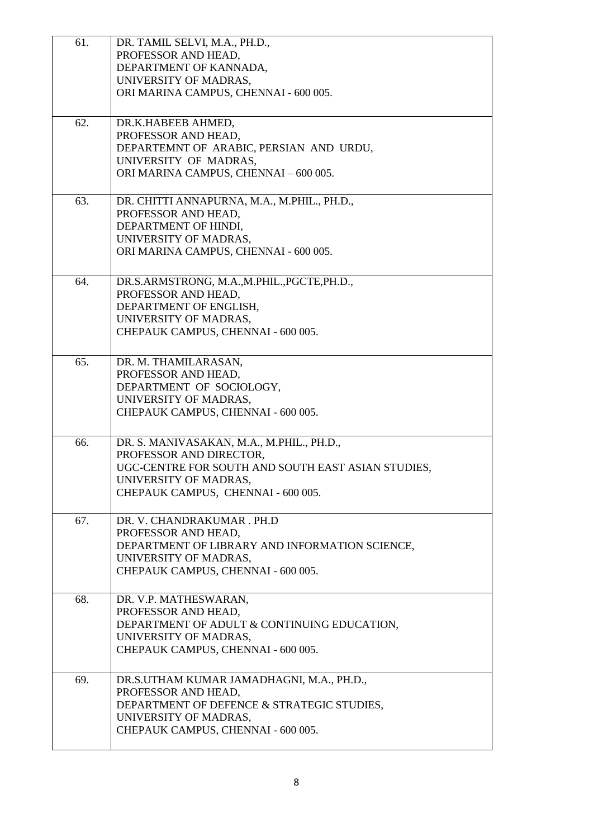| 61. | DR. TAMIL SELVI, M.A., PH.D.,                      |
|-----|----------------------------------------------------|
|     | PROFESSOR AND HEAD,                                |
|     | DEPARTMENT OF KANNADA,                             |
|     | UNIVERSITY OF MADRAS,                              |
|     | ORI MARINA CAMPUS, CHENNAI - 600 005.              |
|     |                                                    |
| 62. | DR.K.HABEEB AHMED,                                 |
|     | PROFESSOR AND HEAD,                                |
|     | DEPARTEMNT OF ARABIC, PERSIAN AND URDU,            |
|     | UNIVERSITY OF MADRAS,                              |
|     | ORI MARINA CAMPUS, CHENNAI - 600 005.              |
|     |                                                    |
| 63. | DR. CHITTI ANNAPURNA, M.A., M.PHIL., PH.D.,        |
|     | PROFESSOR AND HEAD,                                |
|     | DEPARTMENT OF HINDI,                               |
|     | UNIVERSITY OF MADRAS,                              |
|     | ORI MARINA CAMPUS, CHENNAI - 600 005.              |
|     |                                                    |
| 64. | DR.S.ARMSTRONG, M.A.,M.PHIL., PGCTE, PH.D.,        |
|     | PROFESSOR AND HEAD,                                |
|     | DEPARTMENT OF ENGLISH,                             |
|     | UNIVERSITY OF MADRAS,                              |
|     | CHEPAUK CAMPUS, CHENNAI - 600 005.                 |
|     |                                                    |
| 65. | DR. M. THAMILARASAN,                               |
|     | PROFESSOR AND HEAD,                                |
|     | DEPARTMENT OF SOCIOLOGY,                           |
|     | UNIVERSITY OF MADRAS,                              |
|     | CHEPAUK CAMPUS, CHENNAI - 600 005.                 |
|     |                                                    |
| 66. | DR. S. MANIVASAKAN, M.A., M.PHIL., PH.D.,          |
|     | PROFESSOR AND DIRECTOR,                            |
|     | UGC-CENTRE FOR SOUTH AND SOUTH EAST ASIAN STUDIES, |
|     | UNIVERSITY OF MADRAS.                              |
|     | CHEPAUK CAMPUS, CHENNAI - 600 005.                 |
|     |                                                    |
| 67. | DR. V. CHANDRAKUMAR. PH.D                          |
|     | PROFESSOR AND HEAD,                                |
|     | DEPARTMENT OF LIBRARY AND INFORMATION SCIENCE,     |
|     | UNIVERSITY OF MADRAS,                              |
|     | CHEPAUK CAMPUS, CHENNAI - 600 005.                 |
|     |                                                    |
| 68. | DR. V.P. MATHESWARAN,                              |
|     | PROFESSOR AND HEAD,                                |
|     | DEPARTMENT OF ADULT & CONTINUING EDUCATION,        |
|     | UNIVERSITY OF MADRAS,                              |
|     | CHEPAUK CAMPUS, CHENNAI - 600 005.                 |
|     |                                                    |
| 69. | DR.S.UTHAM KUMAR JAMADHAGNI, M.A., PH.D.,          |
|     | PROFESSOR AND HEAD,                                |
|     | DEPARTMENT OF DEFENCE & STRATEGIC STUDIES,         |
|     | UNIVERSITY OF MADRAS,                              |
|     | CHEPAUK CAMPUS, CHENNAI - 600 005.                 |
|     |                                                    |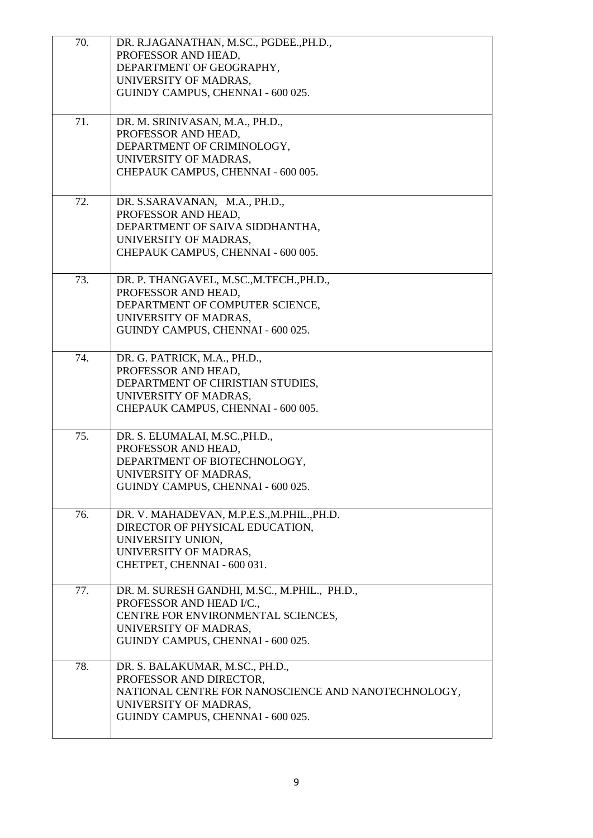| 70. | DR. R.JAGANATHAN, M.SC., PGDEE., PH.D.,             |
|-----|-----------------------------------------------------|
|     | PROFESSOR AND HEAD,                                 |
|     | DEPARTMENT OF GEOGRAPHY,                            |
|     | UNIVERSITY OF MADRAS,                               |
|     | GUINDY CAMPUS, CHENNAI - 600 025.                   |
|     |                                                     |
| 71. | DR. M. SRINIVASAN, M.A., PH.D.,                     |
|     | PROFESSOR AND HEAD,                                 |
|     | DEPARTMENT OF CRIMINOLOGY,                          |
|     | UNIVERSITY OF MADRAS,                               |
|     | CHEPAUK CAMPUS, CHENNAI - 600 005.                  |
|     |                                                     |
| 72. | DR. S.SARAVANAN, M.A., PH.D.,                       |
|     | PROFESSOR AND HEAD,                                 |
|     | DEPARTMENT OF SAIVA SIDDHANTHA,                     |
|     | UNIVERSITY OF MADRAS,                               |
|     | CHEPAUK CAMPUS, CHENNAI - 600 005.                  |
|     |                                                     |
| 73. | DR. P. THANGAVEL, M.SC., M.TECH., PH.D.,            |
|     | PROFESSOR AND HEAD,                                 |
|     | DEPARTMENT OF COMPUTER SCIENCE,                     |
|     | UNIVERSITY OF MADRAS,                               |
|     | GUINDY CAMPUS, CHENNAI - 600 025.                   |
|     |                                                     |
| 74. | DR. G. PATRICK, M.A., PH.D.,                        |
|     | PROFESSOR AND HEAD,                                 |
|     | DEPARTMENT OF CHRISTIAN STUDIES,                    |
|     | UNIVERSITY OF MADRAS,                               |
|     | CHEPAUK CAMPUS, CHENNAI - 600 005.                  |
|     |                                                     |
| 75. | DR. S. ELUMALAI, M.SC., PH.D.,                      |
|     | PROFESSOR AND HEAD,                                 |
|     | DEPARTMENT OF BIOTECHNOLOGY,                        |
|     | UNIVERSITY OF MADRAS,                               |
|     | GUINDY CAMPUS, CHENNAI - 600 025.                   |
| 76. | DR. V. MAHADEVAN, M.P.E.S., M.PHIL., PH.D.          |
|     | DIRECTOR OF PHYSICAL EDUCATION,                     |
|     | UNIVERSITY UNION,                                   |
|     | UNIVERSITY OF MADRAS,                               |
|     | CHETPET, CHENNAI - 600 031.                         |
|     |                                                     |
| 77. | DR. M. SURESH GANDHI, M.SC., M.PHIL., PH.D.,        |
|     | PROFESSOR AND HEAD I/C.,                            |
|     | CENTRE FOR ENVIRONMENTAL SCIENCES,                  |
|     | UNIVERSITY OF MADRAS,                               |
|     | GUINDY CAMPUS, CHENNAI - 600 025.                   |
|     |                                                     |
| 78. | DR. S. BALAKUMAR, M.SC., PH.D.,                     |
|     | PROFESSOR AND DIRECTOR,                             |
|     | NATIONAL CENTRE FOR NANOSCIENCE AND NANOTECHNOLOGY, |
|     | UNIVERSITY OF MADRAS,                               |
|     | GUINDY CAMPUS, CHENNAI - 600 025.                   |
|     |                                                     |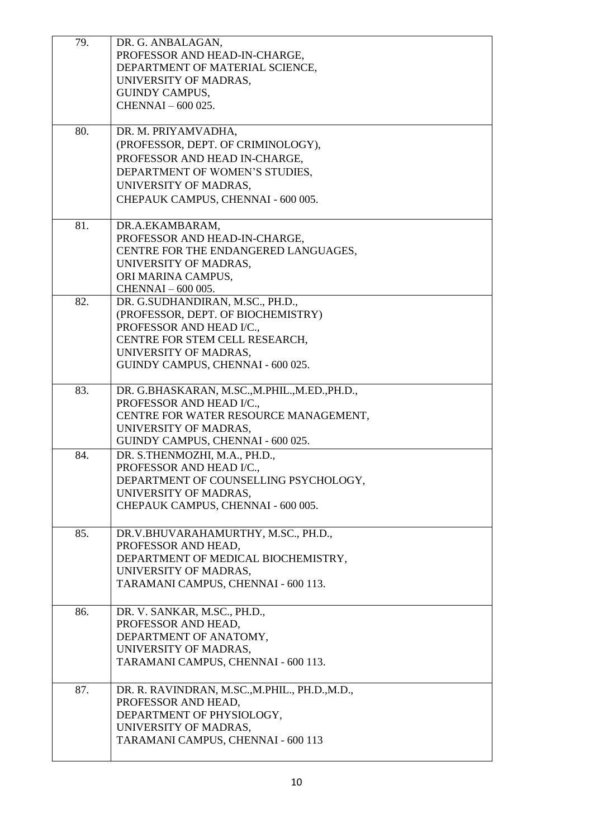| 79. | DR. G. ANBALAGAN,                              |
|-----|------------------------------------------------|
|     | PROFESSOR AND HEAD-IN-CHARGE,                  |
|     | DEPARTMENT OF MATERIAL SCIENCE,                |
|     | UNIVERSITY OF MADRAS,                          |
|     | <b>GUINDY CAMPUS,</b>                          |
|     | CHENNAI - 600 025.                             |
|     |                                                |
| 80. | DR. M. PRIYAMVADHA,                            |
|     | (PROFESSOR, DEPT. OF CRIMINOLOGY),             |
|     | PROFESSOR AND HEAD IN-CHARGE,                  |
|     | DEPARTMENT OF WOMEN'S STUDIES,                 |
|     | UNIVERSITY OF MADRAS,                          |
|     | CHEPAUK CAMPUS, CHENNAI - 600 005.             |
|     |                                                |
| 81. | DR.A.EKAMBARAM,                                |
|     | PROFESSOR AND HEAD-IN-CHARGE,                  |
|     | CENTRE FOR THE ENDANGERED LANGUAGES,           |
|     | UNIVERSITY OF MADRAS,                          |
|     | ORI MARINA CAMPUS,                             |
|     | CHENNAI - 600 005.                             |
| 82. | DR. G.SUDHANDIRAN, M.SC., PH.D.,               |
|     | (PROFESSOR, DEPT. OF BIOCHEMISTRY)             |
|     | PROFESSOR AND HEAD I/C.,                       |
|     | CENTRE FOR STEM CELL RESEARCH,                 |
|     | UNIVERSITY OF MADRAS,                          |
|     | GUINDY CAMPUS, CHENNAI - 600 025.              |
| 83. | DR. G.BHASKARAN, M.SC., M.PHIL., M.ED., PH.D., |
|     | PROFESSOR AND HEAD I/C.,                       |
|     | CENTRE FOR WATER RESOURCE MANAGEMENT,          |
|     | UNIVERSITY OF MADRAS,                          |
|     | GUINDY CAMPUS, CHENNAI - 600 025.              |
| 84. | DR. S.THENMOZHI, M.A., PH.D.,                  |
|     | PROFESSOR AND HEAD I/C.,                       |
|     | DEPARTMENT OF COUNSELLING PSYCHOLOGY,          |
|     | UNIVERSITY OF MADRAS,                          |
|     | CHEPAUK CAMPUS, CHENNAI - 600 005.             |
|     |                                                |
| 85. | DR.V.BHUVARAHAMURTHY, M.SC., PH.D.,            |
|     | PROFESSOR AND HEAD,                            |
|     | DEPARTMENT OF MEDICAL BIOCHEMISTRY,            |
|     | UNIVERSITY OF MADRAS,                          |
|     | TARAMANI CAMPUS, CHENNAI - 600 113.            |
|     |                                                |
| 86. | DR. V. SANKAR, M.SC., PH.D.,                   |
|     | PROFESSOR AND HEAD,                            |
|     | DEPARTMENT OF ANATOMY,                         |
|     | UNIVERSITY OF MADRAS,                          |
|     | TARAMANI CAMPUS, CHENNAI - 600 113.            |
| 87. | DR. R. RAVINDRAN, M.SC., M.PHIL., PH.D., M.D., |
|     | PROFESSOR AND HEAD,                            |
|     | DEPARTMENT OF PHYSIOLOGY,                      |
|     | UNIVERSITY OF MADRAS,                          |
|     | TARAMANI CAMPUS, CHENNAI - 600 113             |
|     |                                                |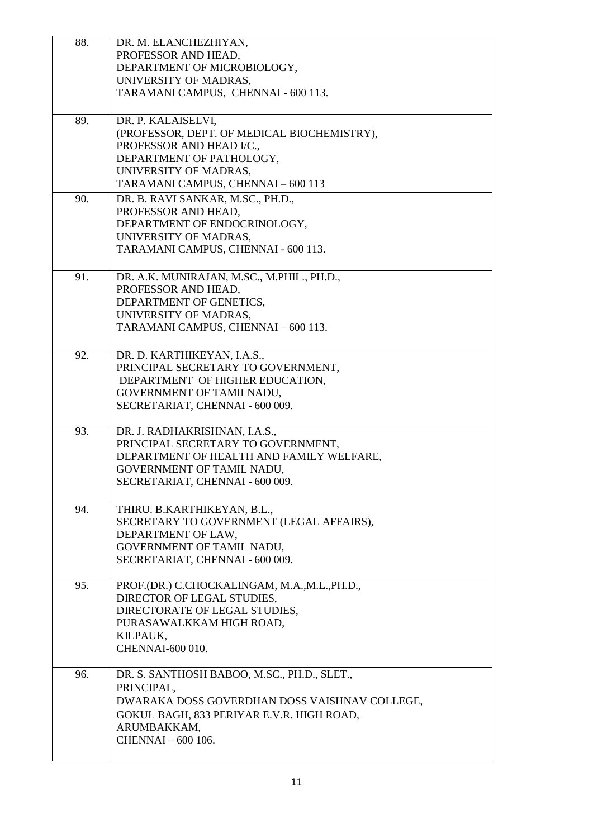| 88. | DR. M. ELANCHEZHIYAN,                         |
|-----|-----------------------------------------------|
|     | PROFESSOR AND HEAD,                           |
|     | DEPARTMENT OF MICROBIOLOGY,                   |
|     | UNIVERSITY OF MADRAS,                         |
|     | TARAMANI CAMPUS, CHENNAI - 600 113.           |
|     |                                               |
| 89. | DR. P. KALAISELVI,                            |
|     | (PROFESSOR, DEPT. OF MEDICAL BIOCHEMISTRY),   |
|     | PROFESSOR AND HEAD I/C.,                      |
|     | DEPARTMENT OF PATHOLOGY,                      |
|     | UNIVERSITY OF MADRAS,                         |
|     | TARAMANI CAMPUS, CHENNAI - 600 113            |
| 90. | DR. B. RAVI SANKAR, M.SC., PH.D.,             |
|     | PROFESSOR AND HEAD,                           |
|     | DEPARTMENT OF ENDOCRINOLOGY,                  |
|     | UNIVERSITY OF MADRAS,                         |
|     | TARAMANI CAMPUS, CHENNAI - 600 113.           |
|     |                                               |
| 91. | DR. A.K. MUNIRAJAN, M.SC., M.PHIL., PH.D.,    |
|     | PROFESSOR AND HEAD,                           |
|     | DEPARTMENT OF GENETICS,                       |
|     | UNIVERSITY OF MADRAS,                         |
|     | TARAMANI CAMPUS, CHENNAI - 600 113.           |
|     |                                               |
| 92. | DR. D. KARTHIKEYAN, I.A.S.,                   |
|     | PRINCIPAL SECRETARY TO GOVERNMENT,            |
|     | DEPARTMENT OF HIGHER EDUCATION,               |
|     | GOVERNMENT OF TAMILNADU,                      |
|     | SECRETARIAT, CHENNAI - 600 009.               |
|     |                                               |
| 93. | DR. J. RADHAKRISHNAN, I.A.S.,                 |
|     | PRINCIPAL SECRETARY TO GOVERNMENT,            |
|     | DEPARTMENT OF HEALTH AND FAMILY WELFARE,      |
|     | GOVERNMENT OF TAMIL NADU,                     |
|     | SECRETARIAT, CHENNAI - 600 009.               |
|     |                                               |
| 94. | THIRU. B.KARTHIKEYAN, B.L.,                   |
|     | SECRETARY TO GOVERNMENT (LEGAL AFFAIRS),      |
|     | DEPARTMENT OF LAW,                            |
|     | GOVERNMENT OF TAMIL NADU,                     |
|     | SECRETARIAT, CHENNAI - 600 009.               |
|     |                                               |
| 95. | PROF.(DR.) C.CHOCKALINGAM, M.A.,M.L., PH.D.,  |
|     | DIRECTOR OF LEGAL STUDIES,                    |
|     | DIRECTORATE OF LEGAL STUDIES,                 |
|     | PURASAWALKKAM HIGH ROAD,                      |
|     | KILPAUK,                                      |
|     | CHENNAI-600 010.                              |
| 96. | DR. S. SANTHOSH BABOO, M.SC., PH.D., SLET.,   |
|     |                                               |
|     | PRINCIPAL,                                    |
|     | DWARAKA DOSS GOVERDHAN DOSS VAISHNAV COLLEGE, |
|     | GOKUL BAGH, 833 PERIYAR E.V.R. HIGH ROAD,     |
|     | ARUMBAKKAM,                                   |
|     | CHENNAI - 600 106.                            |
|     |                                               |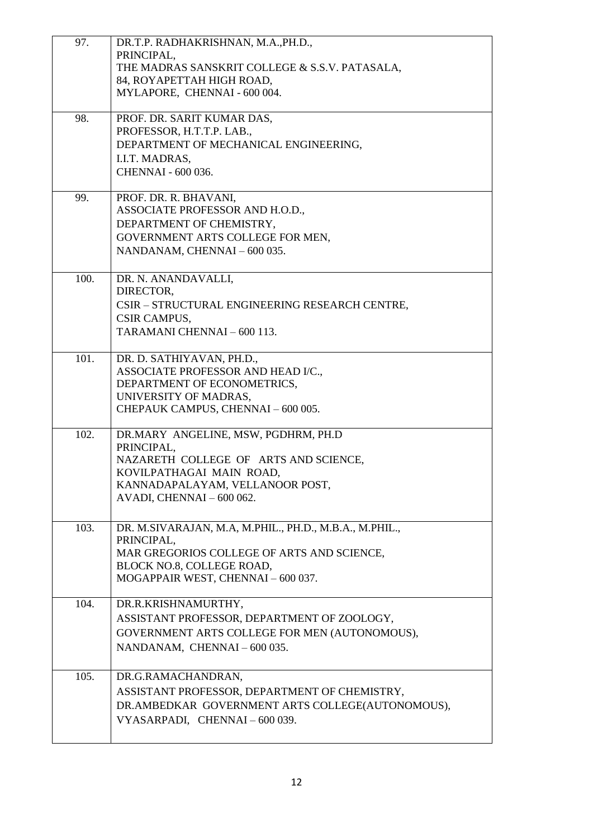| 97.  | DR.T.P. RADHAKRISHNAN, M.A., PH.D.,<br>PRINCIPAL,<br>THE MADRAS SANSKRIT COLLEGE & S.S.V. PATASALA,<br>84, ROYAPETTAH HIGH ROAD,<br>MYLAPORE, CHENNAI - 600 004.                       |
|------|----------------------------------------------------------------------------------------------------------------------------------------------------------------------------------------|
| 98.  | PROF. DR. SARIT KUMAR DAS,<br>PROFESSOR, H.T.T.P. LAB.,<br>DEPARTMENT OF MECHANICAL ENGINEERING,<br>I.I.T. MADRAS,<br>CHENNAI - 600 036.                                               |
| 99.  | PROF. DR. R. BHAVANI,<br>ASSOCIATE PROFESSOR AND H.O.D.,<br>DEPARTMENT OF CHEMISTRY,<br>GOVERNMENT ARTS COLLEGE FOR MEN,<br>NANDANAM, CHENNAI - 600 035.                               |
| 100. | DR. N. ANANDAVALLI,<br>DIRECTOR,<br>CSIR - STRUCTURAL ENGINEERING RESEARCH CENTRE,<br>CSIR CAMPUS,<br>TARAMANI CHENNAI - 600 113.                                                      |
| 101. | DR. D. SATHIYAVAN, PH.D.,<br>ASSOCIATE PROFESSOR AND HEAD I/C.,<br>DEPARTMENT OF ECONOMETRICS,<br>UNIVERSITY OF MADRAS,<br>CHEPAUK CAMPUS, CHENNAI - 600 005.                          |
| 102. | DR.MARY ANGELINE, MSW, PGDHRM, PH.D<br>PRINCIPAL,<br>NAZARETH COLLEGE OF ARTS AND SCIENCE,<br>KOVILPATHAGAI MAIN ROAD,<br>KANNADAPALAYAM, VELLANOOR POST,<br>AVADI, CHENNAI - 600 062. |
| 103. | DR. M.SIVARAJAN, M.A, M.PHIL., PH.D., M.B.A., M.PHIL.,<br>PRINCIPAL,<br>MAR GREGORIOS COLLEGE OF ARTS AND SCIENCE,<br>BLOCK NO.8, COLLEGE ROAD,<br>MOGAPPAIR WEST, CHENNAI - 600 037.  |
| 104. | DR.R.KRISHNAMURTHY,<br>ASSISTANT PROFESSOR, DEPARTMENT OF ZOOLOGY,<br>GOVERNMENT ARTS COLLEGE FOR MEN (AUTONOMOUS),<br>NANDANAM, CHENNAI-600 035.                                      |
| 105. | DR.G.RAMACHANDRAN,<br>ASSISTANT PROFESSOR, DEPARTMENT OF CHEMISTRY,<br>DR.AMBEDKAR GOVERNMENT ARTS COLLEGE(AUTONOMOUS),<br>VYASARPADI, CHENNAI-600 039.                                |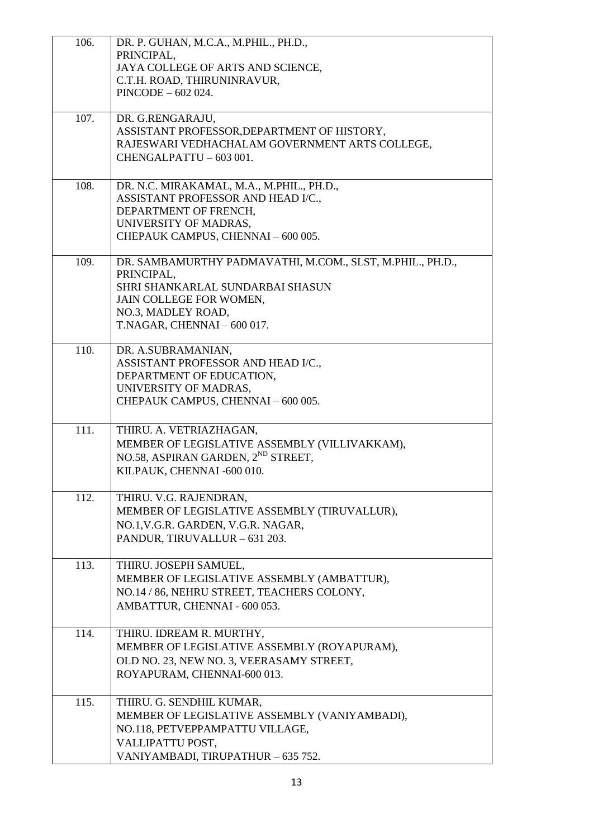| 106. | DR. P. GUHAN, M.C.A., M.PHIL., PH.D.,<br>PRINCIPAL,<br>JAYA COLLEGE OF ARTS AND SCIENCE,      |
|------|-----------------------------------------------------------------------------------------------|
|      | C.T.H. ROAD, THIRUNINRAVUR,<br>$PINCODE - 602024.$                                            |
| 107. | DR. G.RENGARAJU,                                                                              |
|      | ASSISTANT PROFESSOR, DEPARTMENT OF HISTORY,<br>RAJESWARI VEDHACHALAM GOVERNMENT ARTS COLLEGE, |
|      | CHENGALPATTU - 603 001.                                                                       |
| 108. | DR. N.C. MIRAKAMAL, M.A., M.PHIL., PH.D.,<br>ASSISTANT PROFESSOR AND HEAD I/C.,               |
|      | DEPARTMENT OF FRENCH,                                                                         |
|      | UNIVERSITY OF MADRAS,<br>CHEPAUK CAMPUS, CHENNAI - 600 005.                                   |
|      |                                                                                               |
| 109. | DR. SAMBAMURTHY PADMAVATHI, M.COM., SLST, M.PHIL., PH.D.,<br>PRINCIPAL,                       |
|      | SHRI SHANKARLAL SUNDARBAI SHASUN                                                              |
|      | JAIN COLLEGE FOR WOMEN,<br>NO.3, MADLEY ROAD,                                                 |
|      | T.NAGAR, CHENNAI - 600 017.                                                                   |
| 110. | DR. A.SUBRAMANIAN,                                                                            |
|      | ASSISTANT PROFESSOR AND HEAD I/C.,<br>DEPARTMENT OF EDUCATION,                                |
|      | UNIVERSITY OF MADRAS,<br>CHEPAUK CAMPUS, CHENNAI - 600 005.                                   |
|      |                                                                                               |
| 111. | THIRU. A. VETRIAZHAGAN,<br>MEMBER OF LEGISLATIVE ASSEMBLY (VILLIVAKKAM),                      |
|      | NO.58, ASPIRAN GARDEN, 2 <sup>ND</sup> STREET,                                                |
|      | KILPAUK, CHENNAI -600 010.                                                                    |
| 112. | THIRU. V.G. RAJENDRAN,                                                                        |
|      | MEMBER OF LEGISLATIVE ASSEMBLY (TIRUVALLUR),<br>NO.1, V.G.R. GARDEN, V.G.R. NAGAR,            |
|      | PANDUR, TIRUVALLUR - 631 203.                                                                 |
| 113. | THIRU. JOSEPH SAMUEL,                                                                         |
|      | MEMBER OF LEGISLATIVE ASSEMBLY (AMBATTUR),<br>NO.14 / 86, NEHRU STREET, TEACHERS COLONY,      |
|      | AMBATTUR, CHENNAI - 600 053.                                                                  |
| 114. | THIRU. IDREAM R. MURTHY,                                                                      |
|      | MEMBER OF LEGISLATIVE ASSEMBLY (ROYAPURAM),<br>OLD NO. 23, NEW NO. 3, VEERASAMY STREET,       |
|      | ROYAPURAM, CHENNAI-600 013.                                                                   |
| 115. | THIRU. G. SENDHIL KUMAR,                                                                      |
|      | MEMBER OF LEGISLATIVE ASSEMBLY (VANIYAMBADI),<br>NO.118, PETVEPPAMPATTU VILLAGE,              |
|      | VALLIPATTU POST,                                                                              |
|      | VANIYAMBADI, TIRUPATHUR - 635 752.                                                            |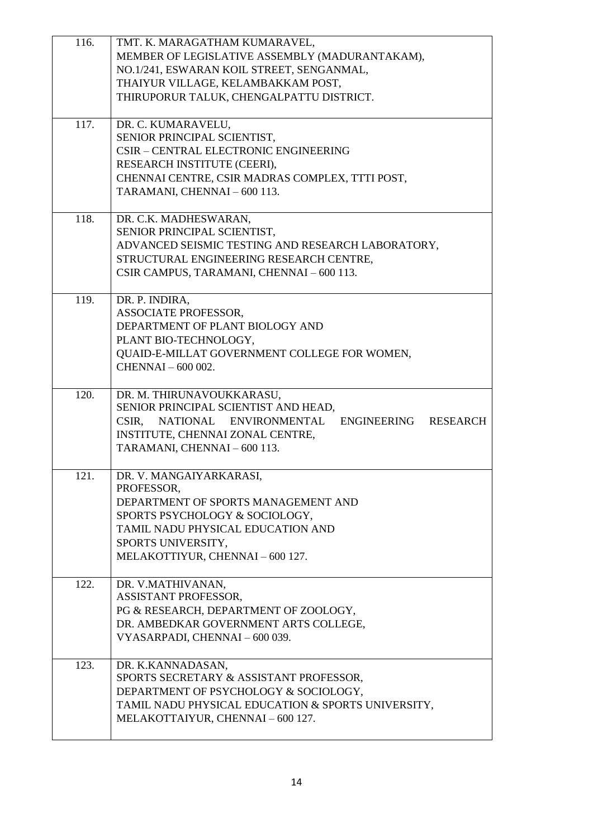| 116. | TMT. K. MARAGATHAM KUMARAVEL,                                  |
|------|----------------------------------------------------------------|
|      | MEMBER OF LEGISLATIVE ASSEMBLY (MADURANTAKAM),                 |
|      | NO.1/241, ESWARAN KOIL STREET, SENGANMAL,                      |
|      | THAIYUR VILLAGE, KELAMBAKKAM POST,                             |
|      | THIRUPORUR TALUK, CHENGALPATTU DISTRICT.                       |
|      |                                                                |
| 117. | DR. C. KUMARAVELU,                                             |
|      | SENIOR PRINCIPAL SCIENTIST,                                    |
|      |                                                                |
|      | CSIR - CENTRAL ELECTRONIC ENGINEERING                          |
|      | RESEARCH INSTITUTE (CEERI),                                    |
|      | CHENNAI CENTRE, CSIR MADRAS COMPLEX, TTTI POST,                |
|      | TARAMANI, CHENNAI - 600 113.                                   |
|      |                                                                |
| 118. | DR. C.K. MADHESWARAN,                                          |
|      | SENIOR PRINCIPAL SCIENTIST,                                    |
|      | ADVANCED SEISMIC TESTING AND RESEARCH LABORATORY,              |
|      | STRUCTURAL ENGINEERING RESEARCH CENTRE,                        |
|      | CSIR CAMPUS, TARAMANI, CHENNAI - 600 113.                      |
|      |                                                                |
| 119. | DR. P. INDIRA,                                                 |
|      | ASSOCIATE PROFESSOR,                                           |
|      | DEPARTMENT OF PLANT BIOLOGY AND                                |
|      | PLANT BIO-TECHNOLOGY,                                          |
|      | QUAID-E-MILLAT GOVERNMENT COLLEGE FOR WOMEN,                   |
|      | CHENNAI-600 002.                                               |
|      |                                                                |
| 120. | DR. M. THIRUNAVOUKKARASU,                                      |
|      |                                                                |
|      | SENIOR PRINCIPAL SCIENTIST AND HEAD,                           |
|      | CSIR, NATIONAL ENVIRONMENTAL<br>ENGINEERING<br><b>RESEARCH</b> |
|      |                                                                |
|      | INSTITUTE, CHENNAI ZONAL CENTRE,                               |
|      | TARAMANI, CHENNAI - 600 113.                                   |
|      |                                                                |
| 121. | DR. V. MANGAIYARKARASI,                                        |
|      | PROFESSOR,                                                     |
|      | DEPARTMENT OF SPORTS MANAGEMENT AND                            |
|      | SPORTS PSYCHOLOGY & SOCIOLOGY,                                 |
|      | TAMIL NADU PHYSICAL EDUCATION AND                              |
|      | SPORTS UNIVERSITY,                                             |
|      | MELAKOTTIYUR, CHENNAI - 600 127.                               |
|      |                                                                |
| 122. | DR. V.MATHIVANAN,                                              |
|      | ASSISTANT PROFESSOR,                                           |
|      | PG & RESEARCH, DEPARTMENT OF ZOOLOGY,                          |
|      | DR. AMBEDKAR GOVERNMENT ARTS COLLEGE,                          |
|      | VYASARPADI, CHENNAI - 600 039.                                 |
|      |                                                                |
| 123. | DR. K.KANNADASAN,                                              |
|      | SPORTS SECRETARY & ASSISTANT PROFESSOR,                        |
|      | DEPARTMENT OF PSYCHOLOGY & SOCIOLOGY,                          |
|      | TAMIL NADU PHYSICAL EDUCATION & SPORTS UNIVERSITY,             |
|      | MELAKOTTAIYUR, CHENNAI - 600 127.                              |